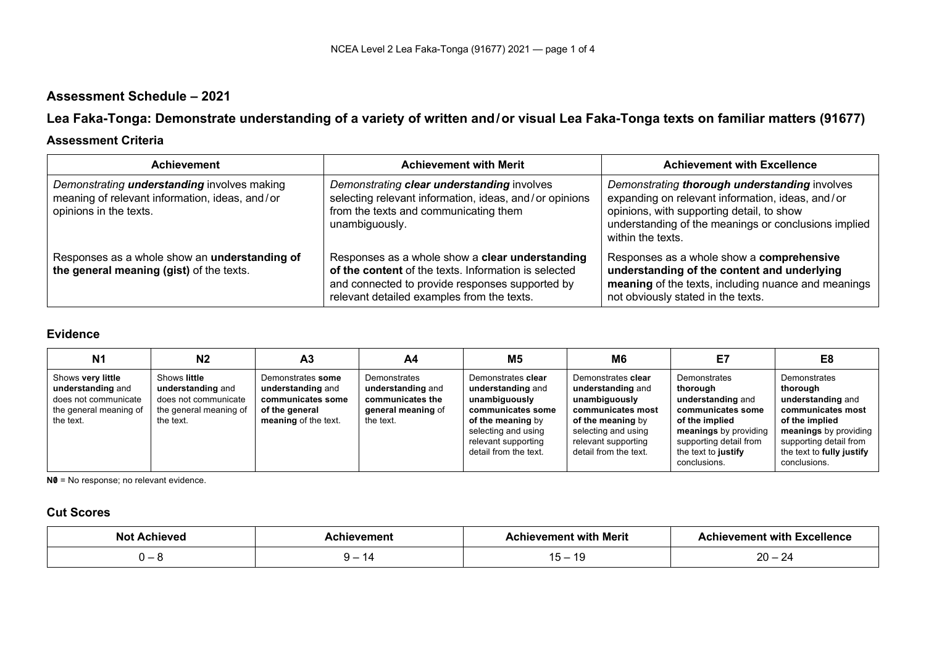# **Assessment Schedule – 2021**

**Lea Faka-Tonga: Demonstrate understanding of a variety of written and/or visual Lea Faka-Tonga texts on familiar matters (91677)**

#### **Assessment Criteria**

| <b>Achievement</b>                                                                                                             | <b>Achievement with Merit</b>                                                                                                                                                                            | <b>Achievement with Excellence</b>                                                                                                                                                                                          |
|--------------------------------------------------------------------------------------------------------------------------------|----------------------------------------------------------------------------------------------------------------------------------------------------------------------------------------------------------|-----------------------------------------------------------------------------------------------------------------------------------------------------------------------------------------------------------------------------|
| Demonstrating <b>understanding</b> involves making<br>meaning of relevant information, ideas, and/or<br>opinions in the texts. | Demonstrating clear understanding involves<br>selecting relevant information, ideas, and/or opinions<br>from the texts and communicating them<br>unambiguously.                                          | Demonstrating thorough understanding involves<br>expanding on relevant information, ideas, and/or<br>opinions, with supporting detail, to show<br>understanding of the meanings or conclusions implied<br>within the texts. |
| Responses as a whole show an understanding of<br>the general meaning (gist) of the texts.                                      | Responses as a whole show a clear understanding<br>of the content of the texts. Information is selected<br>and connected to provide responses supported by<br>relevant detailed examples from the texts. | Responses as a whole show a comprehensive<br>understanding of the content and underlying<br>meaning of the texts, including nuance and meanings<br>not obviously stated in the texts.                                       |

### **Evidence**

| N <sub>1</sub>                                                                                        | N <sub>2</sub>                                                                                   | A <sub>3</sub>                                                                                        | A4                                                                                       | <b>M5</b>                                                                                                                                                                 | M <sub>6</sub>                                                                                                                                                            | E7                                                                                                                                                                             | E8                                                                                                                                                                                   |
|-------------------------------------------------------------------------------------------------------|--------------------------------------------------------------------------------------------------|-------------------------------------------------------------------------------------------------------|------------------------------------------------------------------------------------------|---------------------------------------------------------------------------------------------------------------------------------------------------------------------------|---------------------------------------------------------------------------------------------------------------------------------------------------------------------------|--------------------------------------------------------------------------------------------------------------------------------------------------------------------------------|--------------------------------------------------------------------------------------------------------------------------------------------------------------------------------------|
| Shows very little<br>understanding and<br>does not communicate<br>the general meaning of<br>the text. | Shows little<br>understanding and<br>does not communicate<br>the general meaning of<br>the text. | Demonstrates some<br>understanding and<br>communicates some<br>of the general<br>meaning of the text. | Demonstrates<br>understanding and<br>communicates the<br>general meaning of<br>the text. | Demonstrates clear<br>understanding and<br>unambiguously<br>communicates some<br>of the meaning by<br>selecting and using<br>relevant supporting<br>detail from the text. | Demonstrates clear<br>understanding and<br>unambiguously<br>communicates most<br>of the meaning by<br>selecting and using<br>relevant supporting<br>detail from the text. | Demonstrates<br>thorough<br>understanding and<br>communicates some<br>of the implied<br>meanings by providing<br>supporting detail from<br>the text to justify<br>conclusions. | Demonstrates<br>thorough<br>understanding and<br>communicates most<br>of the implied<br>meanings by providing<br>supporting detail from<br>the text to fully justify<br>conclusions. |

**N0** = No response; no relevant evidence.

## **Cut Scores**

| Not<br>Achieved | Achievement | <b>Achievement with Merit</b> | <b>Achievement with Excellence</b> |
|-----------------|-------------|-------------------------------|------------------------------------|
|                 | $\prime$    | . A C<br>U                    | $20 -$<br>-4                       |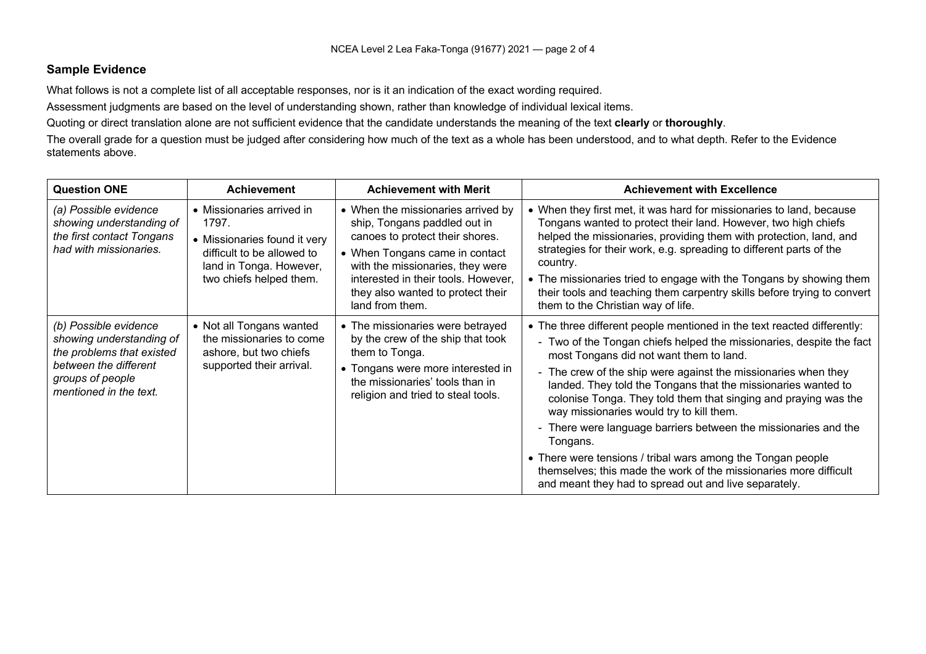#### **Sample Evidence**

What follows is not a complete list of all acceptable responses, nor is it an indication of the exact wording required.

Assessment judgments are based on the level of understanding shown, rather than knowledge of individual lexical items.

Quoting or direct translation alone are not sufficient evidence that the candidate understands the meaning of the text **clearly** or **thoroughly**.

The overall grade for a question must be judged after considering how much of the text as a whole has been understood, and to what depth. Refer to the Evidence statements above.

| <b>Question ONE</b>                                                                                                                                   | <b>Achievement</b>                                                                                                                                     | <b>Achievement with Merit</b>                                                                                                                                                                                                                                              | <b>Achievement with Excellence</b>                                                                                                                                                                                                                                                                                                                                                                                                                                                                                                                                                                                                                                                                                       |
|-------------------------------------------------------------------------------------------------------------------------------------------------------|--------------------------------------------------------------------------------------------------------------------------------------------------------|----------------------------------------------------------------------------------------------------------------------------------------------------------------------------------------------------------------------------------------------------------------------------|--------------------------------------------------------------------------------------------------------------------------------------------------------------------------------------------------------------------------------------------------------------------------------------------------------------------------------------------------------------------------------------------------------------------------------------------------------------------------------------------------------------------------------------------------------------------------------------------------------------------------------------------------------------------------------------------------------------------------|
| (a) Possible evidence<br>showing understanding of<br>the first contact Tongans<br>had with missionaries.                                              | • Missionaries arrived in<br>1797.<br>• Missionaries found it very<br>difficult to be allowed to<br>land in Tonga. However,<br>two chiefs helped them. | • When the missionaries arrived by<br>ship, Tongans paddled out in<br>canoes to protect their shores.<br>• When Tongans came in contact<br>with the missionaries, they were<br>interested in their tools. However,<br>they also wanted to protect their<br>land from them. | • When they first met, it was hard for missionaries to land, because<br>Tongans wanted to protect their land. However, two high chiefs<br>helped the missionaries, providing them with protection, land, and<br>strategies for their work, e.g. spreading to different parts of the<br>country.<br>• The missionaries tried to engage with the Tongans by showing them<br>their tools and teaching them carpentry skills before trying to convert<br>them to the Christian way of life.                                                                                                                                                                                                                                  |
| (b) Possible evidence<br>showing understanding of<br>the problems that existed<br>between the different<br>groups of people<br>mentioned in the text. | • Not all Tongans wanted<br>the missionaries to come<br>ashore, but two chiefs<br>supported their arrival.                                             | • The missionaries were betrayed<br>by the crew of the ship that took<br>them to Tonga.<br>• Tongans were more interested in<br>the missionaries' tools than in<br>religion and tried to steal tools.                                                                      | • The three different people mentioned in the text reacted differently:<br>- Two of the Tongan chiefs helped the missionaries, despite the fact<br>most Tongans did not want them to land.<br>- The crew of the ship were against the missionaries when they<br>landed. They told the Tongans that the missionaries wanted to<br>colonise Tonga. They told them that singing and praying was the<br>way missionaries would try to kill them.<br>- There were language barriers between the missionaries and the<br>Tongans.<br>• There were tensions / tribal wars among the Tongan people<br>themselves; this made the work of the missionaries more difficult<br>and meant they had to spread out and live separately. |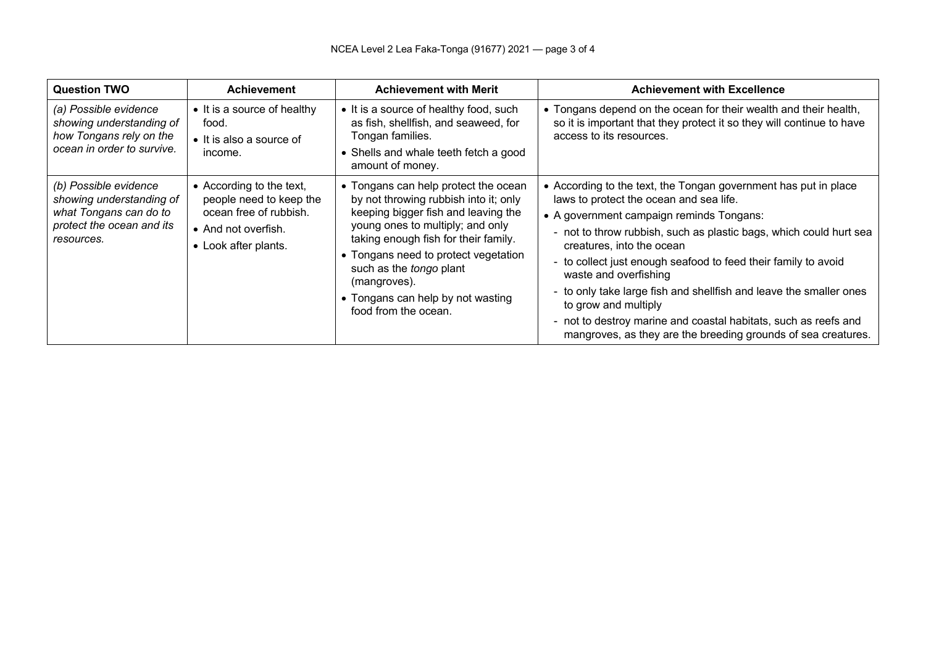| <b>Question TWO</b>                                                                                                    | <b>Achievement</b>                                                                                                           | <b>Achievement with Merit</b>                                                                                                                                                                                                                                                                                                                    | <b>Achievement with Excellence</b>                                                                                                                                                                                                                                                                                                                                                                                                                                                                                                                                                 |
|------------------------------------------------------------------------------------------------------------------------|------------------------------------------------------------------------------------------------------------------------------|--------------------------------------------------------------------------------------------------------------------------------------------------------------------------------------------------------------------------------------------------------------------------------------------------------------------------------------------------|------------------------------------------------------------------------------------------------------------------------------------------------------------------------------------------------------------------------------------------------------------------------------------------------------------------------------------------------------------------------------------------------------------------------------------------------------------------------------------------------------------------------------------------------------------------------------------|
| (a) Possible evidence<br>showing understanding of<br>how Tongans rely on the<br>ocean in order to survive.             | • It is a source of healthy<br>food.<br>• It is also a source of<br>income.                                                  | • It is a source of healthy food, such<br>as fish, shellfish, and seaweed, for<br>Tongan families.<br>• Shells and whale teeth fetch a good<br>amount of money.                                                                                                                                                                                  | • Tongans depend on the ocean for their wealth and their health,<br>so it is important that they protect it so they will continue to have<br>access to its resources.                                                                                                                                                                                                                                                                                                                                                                                                              |
| (b) Possible evidence<br>showing understanding of<br>what Tongans can do to<br>protect the ocean and its<br>resources. | • According to the text,<br>people need to keep the<br>ocean free of rubbish.<br>• And not overfish.<br>• Look after plants. | • Tongans can help protect the ocean<br>by not throwing rubbish into it; only<br>keeping bigger fish and leaving the<br>young ones to multiply; and only<br>taking enough fish for their family.<br>• Tongans need to protect vegetation<br>such as the tongo plant<br>(mangroves).<br>• Tongans can help by not wasting<br>food from the ocean. | • According to the text, the Tongan government has put in place<br>laws to protect the ocean and sea life.<br>• A government campaign reminds Tongans:<br>- not to throw rubbish, such as plastic bags, which could hurt sea<br>creatures, into the ocean<br>to collect just enough seafood to feed their family to avoid<br>waste and overfishing<br>to only take large fish and shellfish and leave the smaller ones<br>to grow and multiply<br>- not to destroy marine and coastal habitats, such as reefs and<br>mangroves, as they are the breeding grounds of sea creatures. |